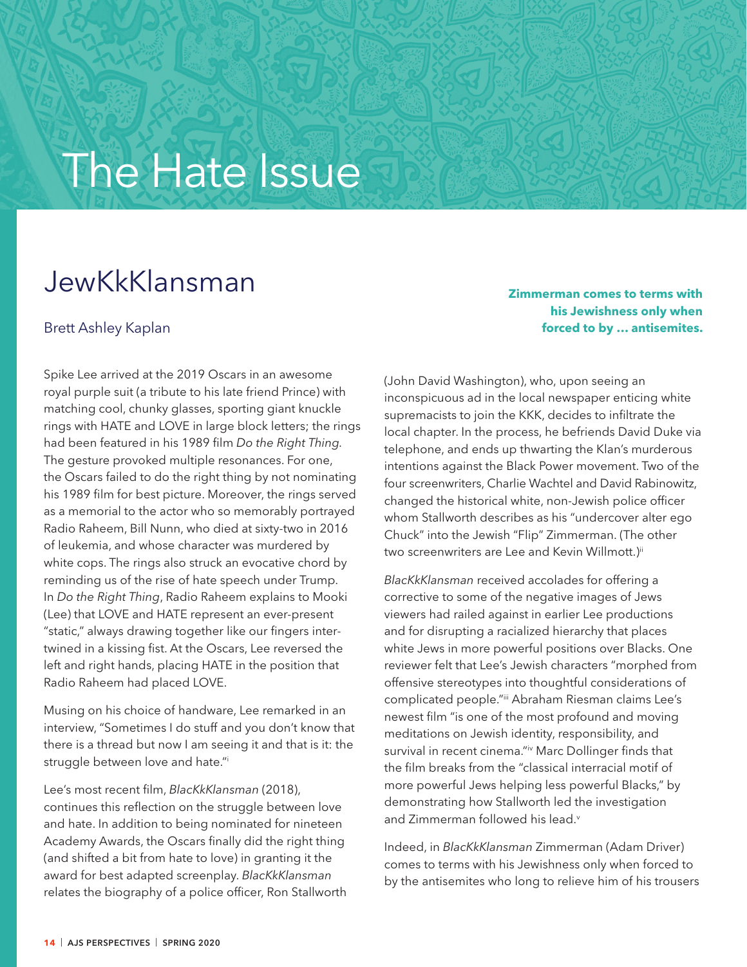## The Hate Issue

## JewKkKlansman

## Brett Ashley Kaplan

**Zimmerman comes to terms with his Jewishness only when forced to by … antisemites.**

Spike Lee arrived at the 2019 Oscars in an awesome royal purple suit (a tribute to his late friend Prince) with matching cool, chunky glasses, sporting giant knuckle rings with HATE and LOVE in large block letters; the rings had been featured in his 1989 film *Do the Right Thing.* The gesture provoked multiple resonances. For one, the Oscars failed to do the right thing by not nominating his 1989 film for best picture. Moreover, the rings served as a memorial to the actor who so memorably portrayed Radio Raheem, Bill Nunn, who died at sixty-two in 2016 of leukemia, and whose character was murdered by white cops. The rings also struck an evocative chord by reminding us of the rise of hate speech under Trump. In *Do the Right Thing*, Radio Raheem explains to Mooki (Lee) that LOVE and HATE represent an ever-present "static," always drawing together like our fingers intertwined in a kissing fist. At the Oscars, Lee reversed the left and right hands, placing HATE in the position that Radio Raheem had placed LOVE.

Musing on his choice of handware, Lee remarked in an interview, "Sometimes I do stuff and you don't know that there is a thread but now I am seeing it and that is it: the struggle between love and hate."i

Lee's most recent film, *BlacKkKlansman* (2018), continues this reflection on the struggle between love and hate. In addition to being nominated for nineteen Academy Awards, the Oscars finally did the right thing (and shifted a bit from hate to love) in granting it the award for best adapted screenplay. *BlacKkKlansman* relates the biography of a police officer, Ron Stallworth (John David Washington), who, upon seeing an inconspicuous ad in the local newspaper enticing white supremacists to join the KKK, decides to infiltrate the local chapter. In the process, he befriends David Duke via telephone, and ends up thwarting the Klan's murderous intentions against the Black Power movement. Two of the four screenwriters, Charlie Wachtel and David Rabinowitz, changed the historical white, non-Jewish police officer whom Stallworth describes as his "undercover alter ego Chuck" into the Jewish "Flip" Zimmerman. (The other two screenwriters are Lee and Kevin Willmott.)<sup>ii</sup>

*BlacKkKlansman* received accolades for offering a corrective to some of the negative images of Jews viewers had railed against in earlier Lee productions and for disrupting a racialized hierarchy that places white Jews in more powerful positions over Blacks. One reviewer felt that Lee's Jewish characters "morphed from offensive stereotypes into thoughtful considerations of complicated people."iii Abraham Riesman claims Lee's newest film "is one of the most profound and moving meditations on Jewish identity, responsibility, and survival in recent cinema."iv Marc Dollinger finds that the film breaks from the "classical interracial motif of more powerful Jews helping less powerful Blacks," by demonstrating how Stallworth led the investigation and Zimmerman followed his lead.<sup>v</sup>

Indeed, in *BlacKkKlansman* Zimmerman (Adam Driver) comes to terms with his Jewishness only when forced to by the antisemites who long to relieve him of his trousers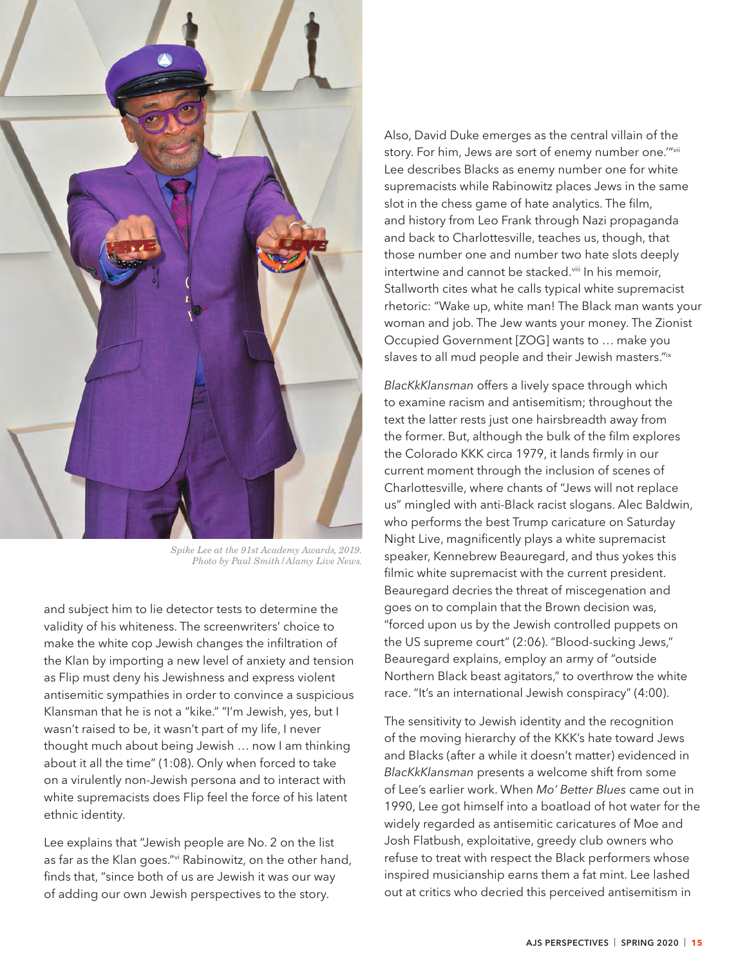

*Spike Lee at the 91st Academy Awards, 2019. Photo by Paul Smith/Alamy Live News.*

and subject him to lie detector tests to determine the validity of his whiteness. The screenwriters' choice to make the white cop Jewish changes the infiltration of the Klan by importing a new level of anxiety and tension as Flip must deny his Jewishness and express violent antisemitic sympathies in order to convince a suspicious Klansman that he is not a "kike." "I'm Jewish, yes, but I wasn't raised to be, it wasn't part of my life, I never thought much about being Jewish … now I am thinking about it all the time" (1:08). Only when forced to take on a virulently non-Jewish persona and to interact with white supremacists does Flip feel the force of his latent ethnic identity.

Lee explains that "Jewish people are No. 2 on the list as far as the Klan goes."vi Rabinowitz, on the other hand, finds that, "since both of us are Jewish it was our way of adding our own Jewish perspectives to the story.

Also, David Duke emerges as the central villain of the story. For him, Jews are sort of enemy number one.""vii Lee describes Blacks as enemy number one for white supremacists while Rabinowitz places Jews in the same slot in the chess game of hate analytics. The film, and history from Leo Frank through Nazi propaganda and back to Charlottesville, teaches us, though, that those number one and number two hate slots deeply intertwine and cannot be stacked.<sup>viii</sup> In his memoir, Stallworth cites what he calls typical white supremacist rhetoric: "Wake up, white man! The Black man wants your woman and job. The Jew wants your money. The Zionist Occupied Government [ZOG] wants to … make you slaves to all mud people and their Jewish masters."ix

*BlacKkKlansman* offers a lively space through which to examine racism and antisemitism; throughout the text the latter rests just one hairsbreadth away from the former. But, although the bulk of the film explores the Colorado KKK circa 1979, it lands firmly in our current moment through the inclusion of scenes of Charlottesville, where chants of "Jews will not replace us" mingled with anti-Black racist slogans. Alec Baldwin, who performs the best Trump caricature on Saturday Night Live, magnificently plays a white supremacist speaker, Kennebrew Beauregard, and thus yokes this filmic white supremacist with the current president. Beauregard decries the threat of miscegenation and goes on to complain that the Brown decision was, "forced upon us by the Jewish controlled puppets on the US supreme court" (2:06). "Blood-sucking Jews," Beauregard explains, employ an army of "outside Northern Black beast agitators," to overthrow the white race. "It's an international Jewish conspiracy" (4:00).

The sensitivity to Jewish identity and the recognition of the moving hierarchy of the KKK's hate toward Jews and Blacks (after a while it doesn't matter) evidenced in *BlacKkKlansman* presents a welcome shift from some of Lee's earlier work. When *Mo' Better Blues* came out in 1990, Lee got himself into a boatload of hot water for the widely regarded as antisemitic caricatures of Moe and Josh Flatbush, exploitative, greedy club owners who refuse to treat with respect the Black performers whose inspired musicianship earns them a fat mint. Lee lashed out at critics who decried this perceived antisemitism in